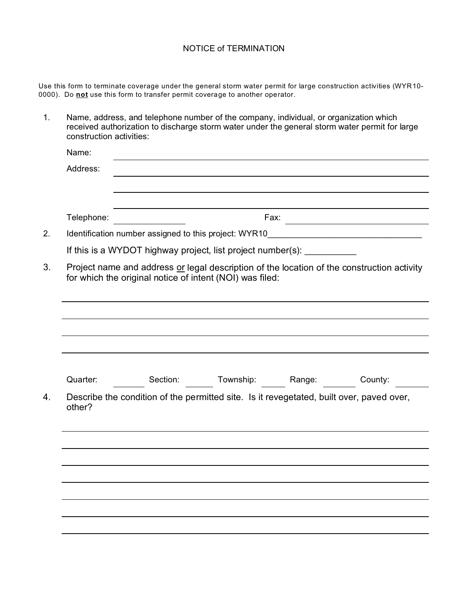## NOTICE of TERMINATION

Use this form to terminate coverage under the general storm water permit for large construction activities (WYR10- 0000). Do **not** use this form to transfer permit coverage to another operator.

| 1. | Name, address, and telephone number of the company, individual, or organization which<br>received authorization to discharge storm water under the general storm water permit for large<br>construction activities: |          |           |        |         |  |  |
|----|---------------------------------------------------------------------------------------------------------------------------------------------------------------------------------------------------------------------|----------|-----------|--------|---------|--|--|
|    | Name:                                                                                                                                                                                                               |          |           |        |         |  |  |
|    | Address:                                                                                                                                                                                                            |          |           |        |         |  |  |
|    |                                                                                                                                                                                                                     |          |           |        |         |  |  |
|    |                                                                                                                                                                                                                     |          |           |        |         |  |  |
|    | Telephone:                                                                                                                                                                                                          |          |           | Fax:   |         |  |  |
| 2. | Identification number assigned to this project: WYR10                                                                                                                                                               |          |           |        |         |  |  |
|    | If this is a WYDOT highway project, list project number(s): __________                                                                                                                                              |          |           |        |         |  |  |
| 3. | Project name and address or legal description of the location of the construction activity<br>for which the original notice of intent (NOI) was filed:                                                              |          |           |        |         |  |  |
|    |                                                                                                                                                                                                                     |          |           |        |         |  |  |
|    |                                                                                                                                                                                                                     |          |           |        |         |  |  |
|    |                                                                                                                                                                                                                     |          |           |        |         |  |  |
|    |                                                                                                                                                                                                                     |          |           |        |         |  |  |
|    |                                                                                                                                                                                                                     |          |           |        |         |  |  |
|    | Quarter:                                                                                                                                                                                                            | Section: | Township: | Range: | County: |  |  |
| 4. | Describe the condition of the permitted site. Is it revegetated, built over, paved over,<br>other?                                                                                                                  |          |           |        |         |  |  |
|    |                                                                                                                                                                                                                     |          |           |        |         |  |  |
|    |                                                                                                                                                                                                                     |          |           |        |         |  |  |
|    |                                                                                                                                                                                                                     |          |           |        |         |  |  |
|    |                                                                                                                                                                                                                     |          |           |        |         |  |  |
|    |                                                                                                                                                                                                                     |          |           |        |         |  |  |
|    |                                                                                                                                                                                                                     |          |           |        |         |  |  |
|    |                                                                                                                                                                                                                     |          |           |        |         |  |  |
|    |                                                                                                                                                                                                                     |          |           |        |         |  |  |